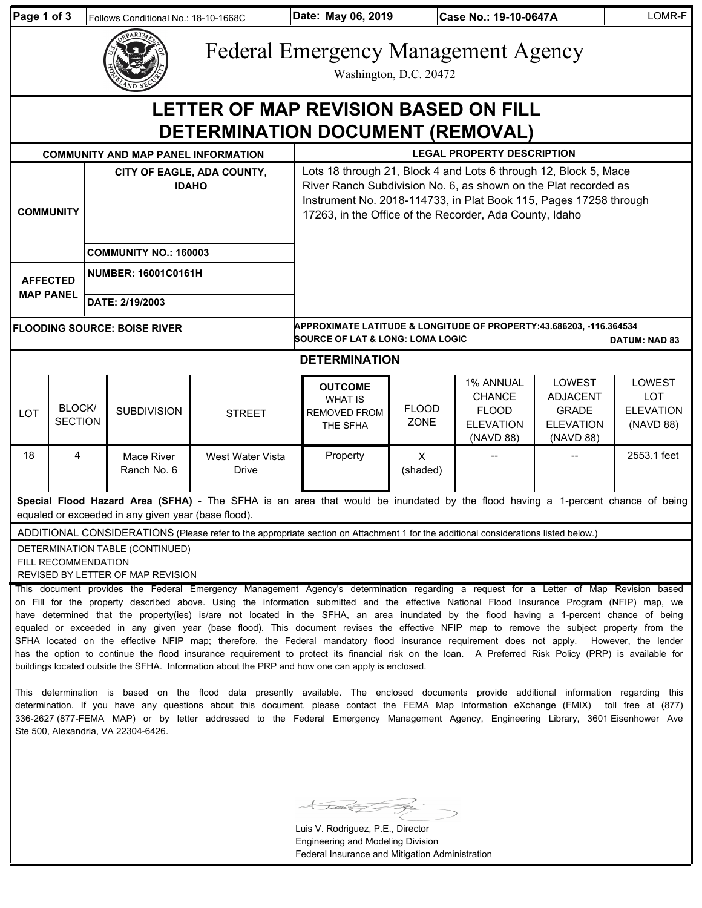| Page 1 of 3                                                                                                                                                                                                                                                                                                                                                                                                                                                                                                                                                                                                                                                                                                                                                                                                                                                                                                                                                                                                                                                                                                                                                                                                                                                                                                                                                                                                        |                          |                                            | Follows Conditional No.: 18-10-1668C       |                           | Date: May 06, 2019                                                                                                                                                                                                                                                  |                             | Case No.: 19-10-0647A                                                       |                                                                            | LOMR-F                                                |  |  |  |
|--------------------------------------------------------------------------------------------------------------------------------------------------------------------------------------------------------------------------------------------------------------------------------------------------------------------------------------------------------------------------------------------------------------------------------------------------------------------------------------------------------------------------------------------------------------------------------------------------------------------------------------------------------------------------------------------------------------------------------------------------------------------------------------------------------------------------------------------------------------------------------------------------------------------------------------------------------------------------------------------------------------------------------------------------------------------------------------------------------------------------------------------------------------------------------------------------------------------------------------------------------------------------------------------------------------------------------------------------------------------------------------------------------------------|--------------------------|--------------------------------------------|--------------------------------------------|---------------------------|---------------------------------------------------------------------------------------------------------------------------------------------------------------------------------------------------------------------------------------------------------------------|-----------------------------|-----------------------------------------------------------------------------|----------------------------------------------------------------------------|-------------------------------------------------------|--|--|--|
|                                                                                                                                                                                                                                                                                                                                                                                                                                                                                                                                                                                                                                                                                                                                                                                                                                                                                                                                                                                                                                                                                                                                                                                                                                                                                                                                                                                                                    |                          |                                            |                                            |                           | <b>Federal Emergency Management Agency</b>                                                                                                                                                                                                                          | Washington, D.C. 20472      |                                                                             |                                                                            |                                                       |  |  |  |
| LETTER OF MAP REVISION BASED ON FILL<br><b>DETERMINATION DOCUMENT (REMOVAL)</b>                                                                                                                                                                                                                                                                                                                                                                                                                                                                                                                                                                                                                                                                                                                                                                                                                                                                                                                                                                                                                                                                                                                                                                                                                                                                                                                                    |                          |                                            |                                            |                           |                                                                                                                                                                                                                                                                     |                             |                                                                             |                                                                            |                                                       |  |  |  |
|                                                                                                                                                                                                                                                                                                                                                                                                                                                                                                                                                                                                                                                                                                                                                                                                                                                                                                                                                                                                                                                                                                                                                                                                                                                                                                                                                                                                                    |                          |                                            | <b>COMMUNITY AND MAP PANEL INFORMATION</b> |                           | <b>LEGAL PROPERTY DESCRIPTION</b>                                                                                                                                                                                                                                   |                             |                                                                             |                                                                            |                                                       |  |  |  |
| <b>COMMUNITY</b>                                                                                                                                                                                                                                                                                                                                                                                                                                                                                                                                                                                                                                                                                                                                                                                                                                                                                                                                                                                                                                                                                                                                                                                                                                                                                                                                                                                                   |                          | CITY OF EAGLE, ADA COUNTY,<br><b>IDAHO</b> |                                            |                           | Lots 18 through 21, Block 4 and Lots 6 through 12, Block 5, Mace<br>River Ranch Subdivision No. 6, as shown on the Plat recorded as<br>Instrument No. 2018-114733, in Plat Book 115, Pages 17258 through<br>17263, in the Office of the Recorder, Ada County, Idaho |                             |                                                                             |                                                                            |                                                       |  |  |  |
|                                                                                                                                                                                                                                                                                                                                                                                                                                                                                                                                                                                                                                                                                                                                                                                                                                                                                                                                                                                                                                                                                                                                                                                                                                                                                                                                                                                                                    |                          |                                            | <b>COMMUNITY NO.: 160003</b>               |                           |                                                                                                                                                                                                                                                                     |                             |                                                                             |                                                                            |                                                       |  |  |  |
| <b>AFFECTED</b><br><b>MAP PANEL</b>                                                                                                                                                                                                                                                                                                                                                                                                                                                                                                                                                                                                                                                                                                                                                                                                                                                                                                                                                                                                                                                                                                                                                                                                                                                                                                                                                                                |                          | <b>NUMBER: 16001C0161H</b>                 |                                            |                           |                                                                                                                                                                                                                                                                     |                             |                                                                             |                                                                            |                                                       |  |  |  |
|                                                                                                                                                                                                                                                                                                                                                                                                                                                                                                                                                                                                                                                                                                                                                                                                                                                                                                                                                                                                                                                                                                                                                                                                                                                                                                                                                                                                                    |                          | DATE: 2/19/2003                            |                                            |                           |                                                                                                                                                                                                                                                                     |                             |                                                                             |                                                                            |                                                       |  |  |  |
| <b>FLOODING SOURCE: BOISE RIVER</b>                                                                                                                                                                                                                                                                                                                                                                                                                                                                                                                                                                                                                                                                                                                                                                                                                                                                                                                                                                                                                                                                                                                                                                                                                                                                                                                                                                                |                          |                                            |                                            |                           | APPROXIMATE LATITUDE & LONGITUDE OF PROPERTY:43.686203, -116.364534<br><b>SOURCE OF LAT &amp; LONG: LOMA LOGIC</b><br><b>DATUM: NAD 83</b>                                                                                                                          |                             |                                                                             |                                                                            |                                                       |  |  |  |
|                                                                                                                                                                                                                                                                                                                                                                                                                                                                                                                                                                                                                                                                                                                                                                                                                                                                                                                                                                                                                                                                                                                                                                                                                                                                                                                                                                                                                    |                          |                                            |                                            |                           | <b>DETERMINATION</b>                                                                                                                                                                                                                                                |                             |                                                                             |                                                                            |                                                       |  |  |  |
| LOT                                                                                                                                                                                                                                                                                                                                                                                                                                                                                                                                                                                                                                                                                                                                                                                                                                                                                                                                                                                                                                                                                                                                                                                                                                                                                                                                                                                                                | BLOCK/<br><b>SECTION</b> |                                            | <b>SUBDIVISION</b>                         | <b>STREET</b>             | <b>OUTCOME</b><br><b>WHAT IS</b><br><b>REMOVED FROM</b><br>THE SFHA                                                                                                                                                                                                 | <b>FLOOD</b><br><b>ZONE</b> | 1% ANNUAL<br><b>CHANCE</b><br><b>FLOOD</b><br><b>ELEVATION</b><br>(NAVD 88) | LOWEST<br><b>ADJACENT</b><br><b>GRADE</b><br><b>ELEVATION</b><br>(NAVD 88) | LOWEST<br><b>LOT</b><br><b>ELEVATION</b><br>(NAVD 88) |  |  |  |
| 18                                                                                                                                                                                                                                                                                                                                                                                                                                                                                                                                                                                                                                                                                                                                                                                                                                                                                                                                                                                                                                                                                                                                                                                                                                                                                                                                                                                                                 | 4                        |                                            | Mace River<br>Ranch No. 6                  | West Water Vista<br>Drive | Property                                                                                                                                                                                                                                                            | $\times$<br>(shaded)        |                                                                             |                                                                            | 2553.1 feet                                           |  |  |  |
| Special Flood Hazard Area (SFHA) - The SFHA is an area that would be inundated by the flood having a 1-percent chance of being<br>equaled or exceeded in any given year (base flood).                                                                                                                                                                                                                                                                                                                                                                                                                                                                                                                                                                                                                                                                                                                                                                                                                                                                                                                                                                                                                                                                                                                                                                                                                              |                          |                                            |                                            |                           |                                                                                                                                                                                                                                                                     |                             |                                                                             |                                                                            |                                                       |  |  |  |
| ADDITIONAL CONSIDERATIONS (Please refer to the appropriate section on Attachment 1 for the additional considerations listed below.)<br>DETERMINATION TABLE (CONTINUED)<br>FILL RECOMMENDATION<br>REVISED BY LETTER OF MAP REVISION                                                                                                                                                                                                                                                                                                                                                                                                                                                                                                                                                                                                                                                                                                                                                                                                                                                                                                                                                                                                                                                                                                                                                                                 |                          |                                            |                                            |                           |                                                                                                                                                                                                                                                                     |                             |                                                                             |                                                                            |                                                       |  |  |  |
| This document provides the Federal Emergency Management Agency's determination regarding a request for a Letter of Map Revision based<br>on Fill for the property described above. Using the information submitted and the effective National Flood Insurance Program (NFIP) map, we<br>have determined that the property(ies) is/are not located in the SFHA, an area inundated by the flood having a 1-percent chance of being<br>equaled or exceeded in any given year (base flood). This document revises the effective NFIP map to remove the subject property from the<br>SFHA located on the effective NFIP map; therefore, the Federal mandatory flood insurance requirement does not apply. However, the lender<br>has the option to continue the flood insurance requirement to protect its financial risk on the loan. A Preferred Risk Policy (PRP) is available for<br>buildings located outside the SFHA. Information about the PRP and how one can apply is enclosed.<br>This determination is based on the flood data presently available. The enclosed documents provide additional information regarding this<br>determination. If you have any questions about this document, please contact the FEMA Map Information eXchange (FMIX) toll free at (877)<br>336-2627 (877-FEMA MAP) or by letter addressed to the Federal Emergency Management Agency, Engineering Library, 3601 Eisenhower Ave |                          |                                            |                                            |                           |                                                                                                                                                                                                                                                                     |                             |                                                                             |                                                                            |                                                       |  |  |  |

 $\overline{\mathcal{L}}$ A.

Ste 500, Alexandria, VA 22304-6426.

Luis V. Rodriguez, P.E., Director Engineering and Modeling Division Federal Insurance and Mitigation Administration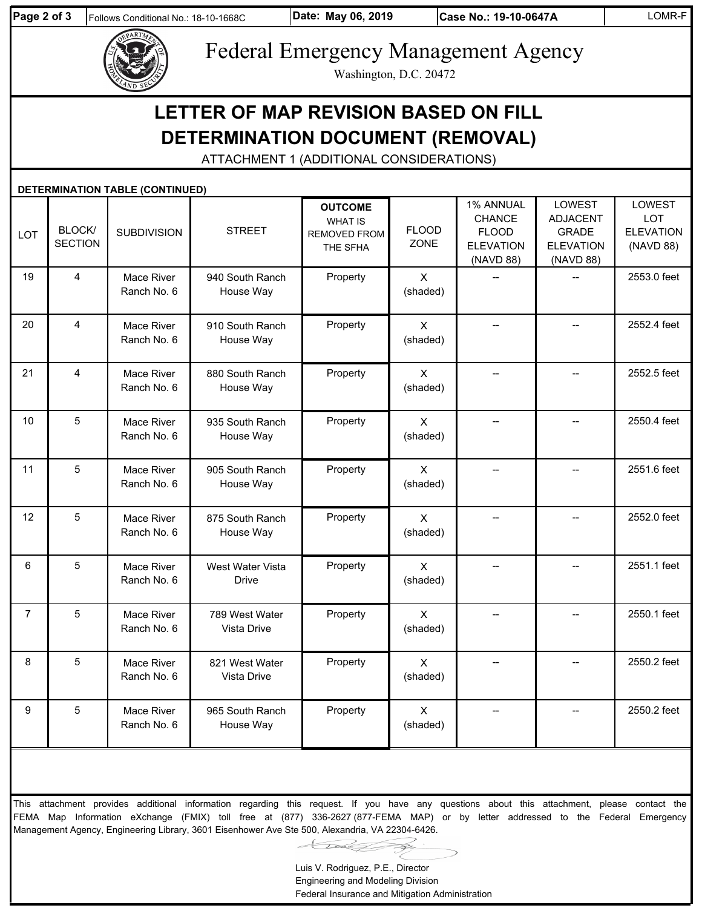

Federal Emergency Management Agency

Washington, D.C. 20472

## **LETTER OF MAP REVISION BASED ON FILL DETERMINATION DOCUMENT (REMOVAL)**

ATTACHMENT 1 (ADDITIONAL CONSIDERATIONS)

| DETERMINATION TABLE (CONTINUED) |                          |                           |                                  |                                                                     |                          |                                                                             |                                                                                   |                                                |  |  |
|---------------------------------|--------------------------|---------------------------|----------------------------------|---------------------------------------------------------------------|--------------------------|-----------------------------------------------------------------------------|-----------------------------------------------------------------------------------|------------------------------------------------|--|--|
| LOT                             | BLOCK/<br><b>SECTION</b> | <b>SUBDIVISION</b>        | <b>STREET</b>                    | <b>OUTCOME</b><br><b>WHAT IS</b><br><b>REMOVED FROM</b><br>THE SFHA | <b>FLOOD</b><br>ZONE     | 1% ANNUAL<br><b>CHANCE</b><br><b>FLOOD</b><br><b>ELEVATION</b><br>(NAVD 88) | <b>LOWEST</b><br><b>ADJACENT</b><br><b>GRADE</b><br><b>ELEVATION</b><br>(NAVD 88) | LOWEST<br>LOT<br><b>ELEVATION</b><br>(NAVD 88) |  |  |
| 19                              | $\overline{\mathbf{4}}$  | Mace River<br>Ranch No. 6 | 940 South Ranch<br>House Way     | Property                                                            | $\mathsf{X}$<br>(shaded) | $\overline{a}$                                                              |                                                                                   | 2553.0 feet                                    |  |  |
| 20                              | $\overline{\mathbf{4}}$  | Mace River<br>Ranch No. 6 | 910 South Ranch<br>House Way     | Property                                                            | $\mathsf{X}$<br>(shaded) | $\overline{a}$                                                              | $\overline{a}$                                                                    | 2552.4 feet                                    |  |  |
| 21                              | $\overline{\mathbf{4}}$  | Mace River<br>Ranch No. 6 | 880 South Ranch<br>House Way     | Property                                                            | $\mathsf{X}$<br>(shaded) | $-$                                                                         |                                                                                   | 2552.5 feet                                    |  |  |
| 10                              | $\overline{5}$           | Mace River<br>Ranch No. 6 | 935 South Ranch<br>House Way     | Property                                                            | $\mathsf{X}$<br>(shaded) | <u>.,</u>                                                                   |                                                                                   | 2550.4 feet                                    |  |  |
| 11                              | 5                        | Mace River<br>Ranch No. 6 | 905 South Ranch<br>House Way     | Property                                                            | $\mathsf{X}$<br>(shaded) | ÷-                                                                          |                                                                                   | 2551.6 feet                                    |  |  |
| 12                              | $\sqrt{5}$               | Mace River<br>Ranch No. 6 | 875 South Ranch<br>House Way     | Property                                                            | $\mathsf{X}$<br>(shaded) | --                                                                          |                                                                                   | 2552.0 feet                                    |  |  |
| 6                               | 5                        | Mace River<br>Ranch No. 6 | West Water Vista<br><b>Drive</b> | Property                                                            | $\mathsf{X}$<br>(shaded) | <u>.,</u>                                                                   | $\overline{a}$                                                                    | 2551.1 feet                                    |  |  |
| $\overline{7}$                  | 5                        | Mace River<br>Ranch No. 6 | 789 West Water<br>Vista Drive    | Property                                                            | $\mathsf{X}$<br>(shaded) | $-$                                                                         |                                                                                   | 2550.1 feet                                    |  |  |
| 8                               | $\overline{5}$           | Mace River<br>Ranch No. 6 | 821 West Water<br>Vista Drive    | Property                                                            | $\mathsf{X}$<br>(shaded) | $-$                                                                         |                                                                                   | 2550.2 feet                                    |  |  |
| 9                               | $\overline{5}$           | Mace River<br>Ranch No. 6 | 965 South Ranch<br>House Way     | Property                                                            | $\mathsf{X}$<br>(shaded) | --                                                                          |                                                                                   | 2550.2 feet                                    |  |  |

This attachment provides additional information regarding this request. If you have any questions about this attachment, please contact the FEMA Map Information eXchange (FMIX) toll free at (877) 336-2627 (877-FEMA MAP) or by letter addressed to the Federal Emergency Management Agency, Engineering Library, 3601 Eisenhower Ave Ste 500, Alexandria, VA 22304-6426.

Luis V. Rodriguez, P.E., Director Engineering and Modeling Division

Federal Insurance and Mitigation Administration